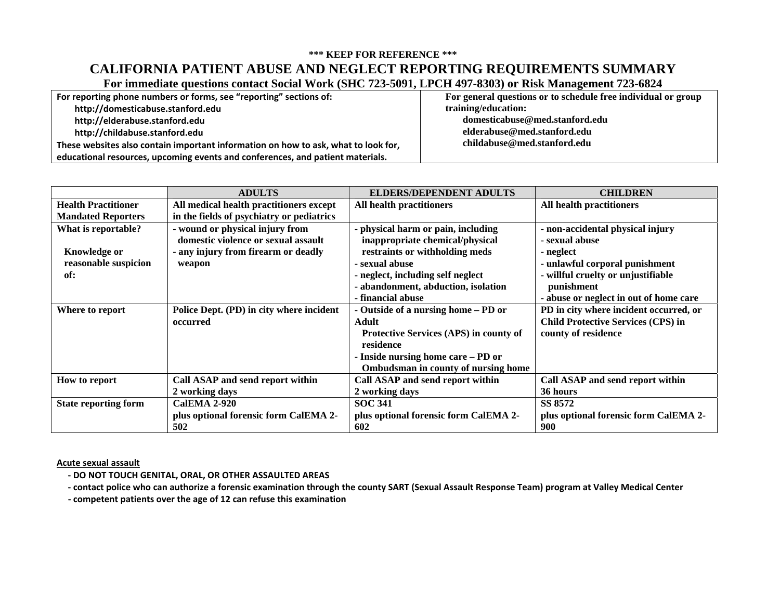# **\*\*\* KEEP FOR REFERENCE \*\*\* CALIFORNIA PATIENT ABUSE AND NEGLECT REPORTING REQUIREMENTS SUMMARY**

**For immediate questions contact Social Work (SHC 723-5091, LPCH 497-8303) or Risk Management 723-6824** 

| For reporting phone numbers or forms, see "reporting" sections of:                 | For general questions or to schedule free individual or group |
|------------------------------------------------------------------------------------|---------------------------------------------------------------|
| http://domesticabuse.stanford.edu                                                  | training/education:                                           |
| http://elderabuse.stanford.edu                                                     | domesticabuse@med.stanford.edu                                |
| http://childabuse.stanford.edu                                                     | elderabuse@med.stanford.edu                                   |
| These websites also contain important information on how to ask, what to look for, | childabuse@med.stanford.edu                                   |
| educational resources, upcoming events and conferences, and patient materials.     |                                                               |

|                             | <b>ADULTS</b>                             | <b>ELDERS/DEPENDENT ADULTS</b>         | <b>CHILDREN</b>                           |
|-----------------------------|-------------------------------------------|----------------------------------------|-------------------------------------------|
| <b>Health Practitioner</b>  | All medical health practitioners except   | All health practitioners               | All health practitioners                  |
| <b>Mandated Reporters</b>   | in the fields of psychiatry or pediatrics |                                        |                                           |
| What is reportable?         | - wound or physical injury from           | - physical harm or pain, including     | - non-accidental physical injury          |
|                             | domestic violence or sexual assault       | inappropriate chemical/physical        | - sexual abuse                            |
| Knowledge or                | - any injury from firearm or deadly       | restraints or withholding meds         | - neglect                                 |
| reasonable suspicion        | weapon                                    | - sexual abuse                         | - unlawful corporal punishment            |
| of:                         |                                           | - neglect, including self neglect      | - willful cruelty or unjustifiable        |
|                             |                                           | - abandonment, abduction, isolation    | punishment                                |
|                             |                                           | - financial abuse                      | - abuse or neglect in out of home care    |
| Where to report             | Police Dept. (PD) in city where incident  | - Outside of a nursing home – PD or    | PD in city where incident occurred, or    |
|                             | occurred                                  | Adult                                  | <b>Child Protective Services (CPS) in</b> |
|                             |                                           | Protective Services (APS) in county of | county of residence                       |
|                             |                                           | residence                              |                                           |
|                             |                                           | - Inside nursing home care – PD or     |                                           |
|                             |                                           | Ombudsman in county of nursing home    |                                           |
| How to report               | Call ASAP and send report within          | Call ASAP and send report within       | Call ASAP and send report within          |
|                             | 2 working days                            | 2 working days                         | 36 hours                                  |
| <b>State reporting form</b> | <b>CalEMA 2-920</b>                       | <b>SOC 341</b>                         | SS 8572                                   |
|                             | plus optional forensic form CalEMA 2-     | plus optional forensic form CalEMA 2-  | plus optional forensic form CalEMA 2-     |
|                             | 502                                       | 602                                    | 900                                       |

**Acute sexual assault**

- **‐ DO NOT TOUCH GENITAL, ORAL, OR OTHER ASSAULTED AREAS**
- contact police who can authorize a forensic examination through the county SART (Sexual Assault Response Team) program at Valley Medical Center
	- **‐ competent patients over the age of 12 can refuse this examination**